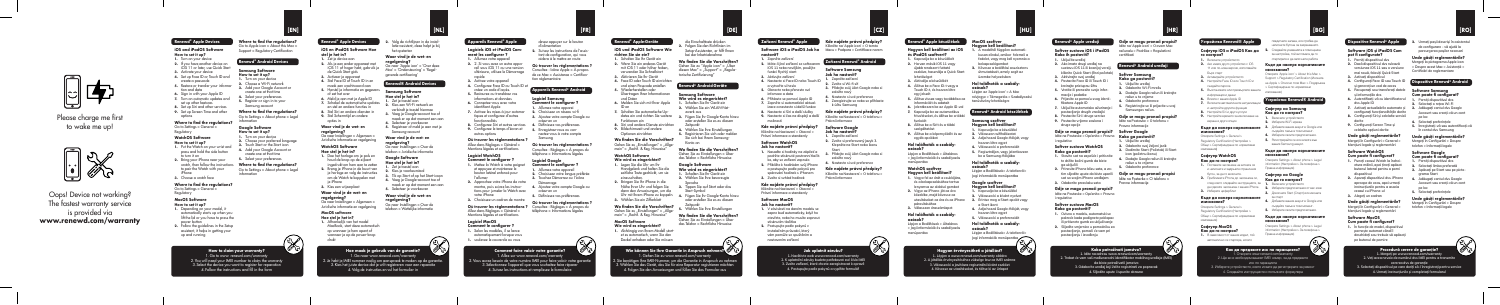Oops! Device not working? The fastest warranty service is provided via **www.renewd.com/warranty**

# النجا

Please charge me first to wake me up!



## **Where to find the regulations?** Go to Apple icon > About this Mac >

# Support > Regulatory Certification **Renewd® Android Devices**

# **Samsung Software**

- **How to set it up? 1.** Turn on your device
- **2.** Choose a Wi-Fi network **3.** Add your Google Account of
- create one at that time **4.** Select your preferences
- **5.** Register or sign in to your Samsung account **Where to find the regulations?**
- Go to Settings > About phone > Legal information

#### **Google Software How to set it up?**

#### **Kde najdete právní předpisy? Klikněte na 'Apple icon' > O tomto**

# **2.** Máte-li jiné zařízení se softwa

- **Zařízení Renewd® Android**
- **Software Samsung**
- **Jak ho nastavit?**
- **2. Zvolte si Wi-fi síť**
- **3. Přidejte svůj účet Google nebo si založte nový**
- **4. Nastavte si své preference**
- **5. Zaregistrujte se nebo se přihlaste**
- **k účtu Samsung**
- **Kde najdete právní předpisy?**
- **9.** Nastavte si čas na displeji a další Klikněte na Nastavení > O telefonu > **Právní informace**

Sprache **3.** Tippen Sie auf Start oder das Start-Symbol Uhr mit Ihrem iPhone zu koppeln. **4.** Fügen Sie Ihr Google-Konto hinzu

## **Software Google**

**Jak ho nastavit? 1. Zapněte zařízení**

**2. Zvolte si preferovaný jazyk 3.** 

- **Klepněte na Start nebo ikonu Start 1. Nasaďte si hodinky na zápěstí a** 
	- **4. Nastavte si své preference**

#### **Kde najdete právní předpisy? a postupujte podle pokynů pro Klikněte na Nastavení > O telefonu >**

die Einschalttaste drücken **2.** Folgen Sie den Richtlinien im Setup-Assistenten, er hilft Ihnen bei der Inbetriebnahme

torische Zertifizierung"

# **Renewd® Android-Geräte**

**Samsung Software**

- 
- **Wie wird es eingerichtet? 1.** Schalten Sie Ihr Gerät ein
- **2.** Wählen Sie ein WLAN-Net-
- dates ein und richten Sie weitere **3.** Fügen Sie Ihr Google-Konto hinzu oder erstellen Sie es zu diesem

zwerk aus

Je hebt je IMEI nummer nodig om aanspraak te maken op de garantie 3. Kies het juiste device dat je wilt registreren voor een reparatie 4.Volg de instructies en vul het formulier in

Zeitpunkt **4.** Wählen Sie Ihre Einstellungen **5.** Registrieren Sie sich oder melden Sie sich bei Ihrem Samsung-Konto an **Wo finden Sie die Vorschriften?** 

Gehen Sie zu Einstellungen > Über das Telefon > Rechtliche Hinweise

**Google Software**

# **Wie wird es eingerichtet?**

oder erstellen Sie es zu diesem

Zeitpunkt **5.** Wählen Sie Ihre Einstellungen **Wo finden Sie die Vorschriften?**  Gehen Sie zu Einstellungen > Über das Telefon > Rechtliche Hinweise

**Software IOS a IPadOS Jak ho** Macu > Podpora > Certifikace norem **nastavit?**

- **1. Zapněte zařízení**
- **Wo finden Sie die Vorschriften?**  Gehen Sie zu "Apple icon" > "Über diesen Mac" > "Support" > "Regula-

latie-assistent, deze helpt je bij

- **1.** Turn on your device **2.** Choose your preferred language
- **3.** Touch Start or the Start icon **4.** Add your Google Account or
- create one at that time
- **5.** Select your preferences **Where to find the regulations?** watch, then follow the instructions Go to Settings > About phone > Legal
- **3.** Choose a watch face

**Waar vind je de wet- en** 

Mac' > 'Ondersteuning' > 'Regelgevende certificering'

### **Renewd® Android Devices**

**Samsung Software Hoe stel je het in?**

- **1.** Zet je toestel aan **2.** Kies een Wi-Fi netwerk en **7.** Schakel de automatische updates
- verbindt je toestel hiermee **3.** Voeg je Google-account toe of **8.** Stel Siri en andere diensten in
	- maak er op dat moment een aan **4.** Selecteer je voorkeuren

#### **5.** Registreer of meld je aan met je Samsung-account

**Waar vind je de wet- en regelgeving?**

#### **Google Software Hoe stel je het in?**

**4.** Voeg je Google-account toe of

- 
- **3.** Tik op Start of op het Start-icoon
- maak er op dat moment een aan **5.** Selecteer je voorkeuren

#### **Waar vind je de wet- en regelgeving?** Ga naar Instellingen > Over de

telefoon > Wettelijke informatie

**3. Přidejte svůj účet Google nebo si založte nový podržte stisknuté postranní tlačítko, aby se zařízení zapnulo**

**How to claim your warranty?** 1.Go to www. renewd.com/warranty 2. You will need your IMEI number to claim the warranty 3. Select the device you want to register for reparation 4. Follow the instructions and fill in the form

#### **Právní informace spárování hodinek s iPhonem**

# **Hoe maak je gebruik van de garantie?** 1.Ga naar www.renewd.com/warranty

# **Renewd® Apple Devices**

**iOS and iPadOS Software How to set it up?**

- **1.** Schalten Sie Ihr Gerät ein **2.** Wählen Sie Ihre bevorzugte
	- **3. Zvolte si vzhled hodinek**

om de Watch te koppelen met ie iPhone

- **1.** Turn on your device **2.** If you have another device on iOS 11 or later, use Quick Start
- **3.** Activate your device
- **4.** Set up Face ID or Touch ID and create a passcode **5.** Restore or transfer your informa-
- tion and data **6.** Sign in with your Apple ID
- **7.** Turn on automatic updates and set up other features
- **8.** Set up Siri and other services **9.** Set up Screen Time and other
	-

options

### **Where to find the regulations?**

Go to Settings > General > Regulatory

#### **WatchOS Software How to set it up?**

- **1.** Put the Watch on your wrist and
- press and hold the side button to turn it on
- **2.** Bring your iPhone near your
- information to pair the Watch with your iPhone
- 

# **Where to find the regulations?**

# Go to Settings > General >

Regulatory

#### **MacOS Software How to set it up?**

- **1.** Depending on your model, it automatically starts up when you lift the lid or you have to press the
- **2.** Follow the guidelines in the Setup assistant, it helps in getting your up and running
- 
- power button

## **Zařízení Renewd® Apple**

#### het opstarten **iOS en iPadOS Software Hoe**

#### **regelgeving?** Ga naar 'Apple icon' > 'Over deze **2.** Als je een ander apparaat met iOS 11 of hoger hebt, gebruik je

9. Configurez le temps d'écran et **5.** Enregistrez-vous ou connectez-vous à votre compte Samsung autres options

**Où trouver les réglementations ?** Consultez : Réglages > A propos du

- **iOS 11 nebo novějším, použijte funkci Rychlý start 3. Aktivujte zařízení**
- **1. Zapněte zařízení 4. Nastavte si Face ID nebo Touch ID**
- **a vytvořte si heslo 5. Obnovte nebo přeneste své**
- **infomace a data**
- **6. Přihlaste se pomocí Apple ID 7. Zapněte si automatické aktual-**
- **izace a nastavte si další funkce**
- **8. Nastavte si Siri a další služby**
- **možnosti**

# **Kde najdete právní předpisy?**

# **Klikněte na Nastavení > Obecné >**

# **2.** Volg de richtlijnen in de instal-**[EN] [NL] [FR] [DE] [CZ] [HU] [HR]**

**Právní informace a standardy**

Ga naar Instellingen > Over de telefoon > Juridische informatie **1.** Doe het horloge om je pols en

# **Software WatchOS**

## **Jak ho nastavit?**

**1.** Zet je toestel aan **2.** Kies je voorkeurstaal **2.** Breng je iPhone in de buurt van je horloge en volg de instructies

> **2. K uplatnění záruky budete potřebovat své číslo IMF 3. Zvolte zařízení, které chcete zaregistrovat k opravě 4. Postupujte podle pokynů a vyplňte formulář**

# **2. Přibližte k hodinkám svůj iPhone**

## **Kde najdete právní předpisy?**

# **Klikněte na Nastavení > Obecné >**

**Právní informace a standardy**

#### **Software MacOS Jak ho nastavit?**

- **1. V závislosti na daném modelu se zapne buď automaticky, když ho otevřete, nebo ho musíte zapnout**
- **vám pomůže se spuštěním a**



# **stisknutím tlačítka**

- 
- **2. Postupujte podle pokynů v instalačním průvodci, který nastavením zařízení**

**Renewd® Apple-Geräte iOS und iPadOS Software Wie richten Sie sie ein? 1.** Schalten Sie Ihr Gerät ein **2.** Wenn Sie ein anderes Gerät mit iOS 11 oder höher haben, verwenden Sie Schnellstart **3.** Aktivieren Sie Ihr Gerät 4. Face ID oder Touch ID einrichte und einen Passcode erstellen **5.** Wiederherstellen oder Übertragen Ihrer Informationen

und Daten **6.** Melden Sie sich mit Ihrer Apple

ID an

**7.** Schalten Sie automatische Up-Funktionen ein **8.** Siri und andere Dienste einrichten **9.** Bildschirmzeit und andere Optionen einrichten **Wo finden Sie die Vorschriften?**  Gehen Sie zu "Einstellungen" > "Allgemein" > "Rechtl. & Reg. Hinweise" **WatchOS Software Wie wird es eingerichtet? 1.** Legen Sie die Uhr um Ihr Handgelenk und halten Sie die seitliche Taste gedrückt, um sie einzuschalten. **2.** Bringen Sie Ihr iPhone in die Nähe Ihrer Uhr und folgen Sie dann den Anweisungen, um die **3.** Wählen Sie ein Zifferblatt **Wo finden Sie die Vorschriften?**  Gehen Sie zu "Einstellungen" > "Allgemein" > "Rechtl. & Reg. Hinweise" **MacOS Software Wie wird es eingerichtet? 1.** Abhängig von Ihrem Modell startet es automatisch, wenn Sie den Deckel anheben oder Sie müssen

# **Renewd® Apple Devices**

**1. Porniți dispozitivul dvs 6. Autentificați-vă cu identificatorul 2. Selectați o rețea Wi-Fi 7.** Activați actualizările automate și **3.** Adăugați contul dvs Google

**stel je het in? 1.** Zet je device aan

de Quick Start gids **3.** Activeer je apparaat **4.** Stel Face ID of Touch ID in en maak een wachtwoord aan **5.** Herstel je informatie en gegevens of zet het over **6.** Meld je aan met je Apple ID

en stel en andere functies in

**9.** Stel Schermtijd en andere opties in **Waar vind je de wet- en regelgeving?** Ga naar Instellingen > Algemeen > Juridische informatie en regelgeving **WatchOS Software Hoe stel je het in?**

> houd de knop op de zijkant ingedrukt om hem aan te zetten

**3.** Kies een wijzerplaat **Waar vind je de wet- en** 

**regelgeving?**

Ga naar Instellingen > Algemeen > Juridische informatie en regelgeving

# **MacOS software**

## **Hoe stel je het in? 1.** Afhankelijk van het model

op wanneer je hem opent of

- MacBook, start deze automatisch
- wanneer je op de power-knop drukt

devez appuyer sur le bouton d'alimentation **2.** Suivez les instructions de l'assistant de configuration, qui vous aidera à le mettre en route **Où trouver les réglementations ?** Consultez : Icône Apple > À propos

tion réglementaire

**Appareils Renewd® Android Logiciel Samsung Comment le configurer ? 1.** Allumez votre apparei

créez-en un



**Où trouver les réglementations ?**  Consultez : Réglages > À propos du téléphone > Informations légales **Logiciel Google Comment le configurer ? 1.** Allumez votre appareil **2.** Choisissez votre langue préférée **3.** Touchez Démarrez ou l'icône Démarrage montre, puis suivez les instruc-<br>**4.** Ajoutez votre compte Google ou créez-en un **5.** Définissez vos préférences **Où trouver les réglementations ?** 

de ce Mac > Assistance > Certificareil sous iOS 11 ou une version

> **Устройства Renewd® Android Софтуер на Samsung Как да го настроя?**

téléphone > Informations légales

създайте такъв в този момент. **4.** Изберете своите предпочитания. **5.** Регистрирайте се или влезте във вашия Samsung акаунт. Къде да намеря нормативнит**е** 

**Comment faire valoir votre garantie?** 1. Allez sur www.renewd.com/warranty 2.Vous aurez besoin de votre numéro IMEI pour faire valoir votre garantie 3. Sélectionnez l'appareil que vous souhaitez faire réparer 4. Suivez les instructions et remplissez le formulaire

## **Appareils Renewd® Apple**

**4.** Добавете вашия акаунт в Google ил създайте такъв в този момент. **5.** Изберете своите предпочитания. **Къде да намеря нормативните изисквания?**  Отворете Settings > About phone > Legal information (Настройки > За телефона >

## **1.** Allumez votre appareil

- **Logiciels iOS et iPadOS Com-**
- **ment les configurer ?**
- **2.** 2. Si vous avez un autre appa-
- ultérieure, utilisez le Démarrage rapide
- **3.** Activez votre appareil **4.** Configurez Face ID ou Touch ID et
- créez un code d'accès. **5.** Restaurez ou transférez vos
- informations et données **6.** Connectez-vous avec votre
- identifiant Apple
- **7.** Activez les mises à jour automa- **2.** Choisissez un réseau wi-fi **3.** Ajoutez votre compte Google ou tiques et configurez d'autres
- **4.** Définissez vos préférences **8.** Configurez Siri et autres services fonctionnalités

#### **Où trouver les réglementations ?**  Allez dans Réglages > Général >

Mentions légales et certifications **Logiciel WatchOS**

#### **Comment le configurer ? 1.** Mettez la Watch à votre poignet

et appuyez et maintenez le bouton latéral enfoncé pour l'allumer

**2.** Approchez votre iPhone de votre tions pour jumeler la Watch avec

votre iPhone **3.** Choisissez un cadran de montre Allez dans Réglages > Général > Mentions légales et certifications **Logiciel MacOS Comment le configurer ? 1.** Selon les modèles, il se lance automatiquement lorsque vous **1.** soulevez le couvercle ou vous

1. Gehen Sie zu www.renewd.com/warranty







**MacOS szoftver Hogyan kell beállítani? 1. A modelltől függően automatikusan elindul, amikor felemeli a fedelet, vagy meg kell nyomnia a** 

**ozások? Lépjen az 'Apple icon' > A Mac névjegye > Támogatás > Szabályozási tanúsítvány lehetőségre**

## **Renewd® Android készülékek**

**Samsung szoftver Hogyan kell beállítani?**

- **1. Kapcsolja be a készüléké**
- **2. Válasszon wifihálózatot 3. Adja hozzá Google-fiókját, vagy szolgáltatást 9. Állítsa be a képernyőidőt és az egyéb opciókat**
- **Hol találhatók a szabály-**
- **ozások? Lépjen a Beállítások > Általános > Jogi információk és szabályozás** 
	- **be a Samsung-fiókjába Hol találhatók a szabályozások?**

**hozzon létre egyet 4. Válassza ki a preferenciáit 5. Regisztráljon, vagy jelentkezzen** 

**bekapcsológombot 2. Kövesse a beállítási asszisztens útmutatásait, amely segít az üzembe helyezésben újabb rendszert futtató eszköze, használja a Quick Start lehetőséget** 

#### **Hol találhatók a szabály-4. Állítsa be a Face ID-t vagy a**

# **Hogyan érvényesítheti a jótállást? 1. Lépjen a www.renewd.com/warranty oldalra**

**2. A jótállás érvényesítéséhez züksége lesz az IMEI számra 3. Válassza ki a javításra regisztrálni kívánt eszközt 4. Kövesse az utasításokat, és töltse ki az űrlapot**

**Renewd® Apple készülékek**

#### **Hogyan kell beállítani az iOS és iPadOS szoftvert?**

**1. Kapcsolja be a készülékét 2. Ha van másik iOS 11 vagy** 

- **Lépjen a Beállítások> A telefonról> Jogi információk menüpontba Google szoftver Hogyan kell beállítani? 1. Vegye fel az órát a csuklójára, és a bekapcsolásához tartsa**
- **Hogyan kell beállítani? 1. Kapcsolja be a készüléké lenyomva az oldalsó gombot 2. Vigye az iPhone-ját az óra**
- **2. Válassza ki a kívánt nyelvet 3. Érintse meg a Start opciót vagy utasításokat az óra és az iPhone közelébe, majd kövesse az párosításához**
- **a Start ikont 4. Adja hozzá Google-fiókját, vagy 3. Válasszon óraszámlapot**
- **hozzon létre egyet 5. Válassza ki a preferenciáit Hol találhatók a szabály-**

**3. Aktiválja a készülékét**

#### **Hol találhatók a szabályozások? Lépjen a Beállítások > Általános > Jogi információk és szabályozás**

**Touch ID-t, és hozzon létre egy jelszót 5. Állítsa vissza vagy továbbítsa az információit és adatait 6. Jelentkezzen be az Apple ID-val 7. Kapcsolja be az automatikus frissítéseket, és állítsa be a többi** 

**Lépjen a Beállítások> A telefonról> Jogi információk menüpontba menüpontba**

**funkciót 8. Állítsa be a Sirit és a többi** 

**menüpontba**

## **WatchOS szoftver**

**ozások?**

**Gdje se mogu pronaći propisi? Idite na 'Apple icon' > O ovom Mac računalu > Podrška > Regulativni** 

**certifikati**

**Renewd® Android uređaji Softver Samsung Kako ga postaviti? 1. Uključite uređaj 2. Odaberite Wi-Fi mrežu 3. Dodajte Google račun ili kreirajte račun u to vrijeme 4. Odaberite preference 5. Registrirajte se ili prijavite u svoj Samsungov račun. Gdje se mogu pronaći propisi? Idite na Postavke > O telefonu > Pravne informacije** 

**1. Uključite uređaj 2. Odaberite svoj željeni jezik 3. Dodirnite Start (Početak) ili Start icon (početnu ikonu) 4. Dodajte Google račun ili kreirajte račun u to vrijeme 5. Odaberite preference**

Pravne informacije

**2. Urmați pașii descriși în asistentul de configurare - vă ajută la parcurgerea pașilor necesari** 

#### **Unde găsiți reglementările? Mergeți la pictograma Apple icon > Despre acest Mac > Asistență >**

**Certificări de reglementare**

#### **Dispozitive Renewd® Android**

#### **Software Samsung**

#### **Cum poate fi configurat?**

**Account sau creați-vă un cont** 

**pe loc**

#### **4. Selectați preferințele**

**5. Înregistrați-vă sau autentificați-vă în contul dvs Samsung**

## **Unde găsiți reglementările?**

**Mergeți în Configurări > Despre telefon > Informații legale** 

#### **Software Google**

#### **Cum poate fi configurat?**

**1. Porniți dispozitivul dvs**

**2. Selectați limba preferată**

**3. Apăsați pe Start sau pe pictograma Start** 

**4. Adăugați contul dvs Google** 

**Account sau creați-vă un cont** 

**pe loc**

**5. Selectați preferințele**

## **Unde găsiți reglementările?**

**Softver Google Gdje se mogu pronaći propisi? Kako ga postaviti? Idite na Postavke > Općenito > Pravno** 

> **Mergeți în Configurări > Despre telefon > Informații legale**

**Kako potraživati jamstvo? 1. Idite na adresu www.renewd.com/warranty 2. Trebat će vam vaš međunarodni identifikator mobilnog uređaja (IMEI) da biste potraživatli jamstvo 3. Odaberite uređaj koji želite registrirati za popravak 4. Slijedite upute i ispunite obrazac**

**Gdje se mogu pronaći propisi tim slijedite upute da biste uparili**  Idite na Postavke > O telefonu > **sat sa svojim iPhone uređajem**



**cererea dvs de garanție**

**Renewd® Apple uređaji Softver sustava iOS i iPadOS Kako ih postaviti? 1. Uključite uređaj 2. Ako imate drugi uređaj na sustavu iOS 11 ili kasnijoj verziji, kliknite Quick Start (Brzi početak) 3. Aktivirajte svoj uređaj 4. Postavite Face ID ili Touch ID i kreirajte pristupnu šifru 5. Vratite ili prenesite svoje informacije i podatke 6. Prijavite se pomoću svog identifikatora Apple ID 7. Uključite automatsko ažuriranje i postavljanje drugih značajki 8. Postavite Siri i druge servise 9. Postavite vrijeme zaslona i druge opcije**

**i regulative**

**Softver sustava WatchOS Kako ga postaviti? 1. Stavite sat na zapešće i pritisnite te držite bočni gumb da biste ga uključili 2. Prinesite iPhone blizu sata, a za-3. Odaberite presvlaku sata Gdje se mogu pronaći propisi? Idite na Postavke > Općenito > Pravno** 

**i regulative Softver sustava MacOS Kako ga postaviti? 1. Ovisno o modelu, automatski se pokreće kada podignete poklopac ili pritisnete gumb za uključivanje 2. Slijedite smjernice u pomoćniku za postavljanje, pomoći će vam pri postavljanju i izvođenju** 

**Dispozitive Renewd® Apple Software iOS și iPadOS Cum pot fi configurate? 1. Porniți dispozitivul dvs 2. Dacă dispozitivul dvs rulează versiunea iOS 11 sau o versiune mai nouă, folosiți Quick Start 3. Activați dispozitivul 4.** Configurati Face ID sau Touch **și generați un cod de acces 5. Recuperați sau transferați datele și informațiile dvs dvs Apple ID**

**configurați funcționalitățile dorite 8. Configurați Siri și celelalte servicii** 

**dorite 9. Configurați Screen Time și celelalte opțiuni dorite Unde găsiți reglementările? Mergeți în Configurări > General > Mențiuni legale și reglementări Software WatchOS Cum poate fi configurat? 1. Puneți ceasul Watch la încheietura mâinii, apoi țineți apăsat butonul lateral pentru a porni dispozitivul 2. Așezați dispozitivul dvs. iPhone aproape de ceas, apoi urmați instrucțiunile pentru a asocia ceasul cu iPhone-ul 3. Alegeți un cadran Unde găsiți reglementările? Mergeți în Configurări > General > Mențiuni legale și reglementări Software MacOS Cum poate fi configurat? 1. În funcție de model, dispozitivul pornește automat când îl deschideți sau trebuie să apăsați pe butonul de pornire**



повдигнете капака, или трябва да натиснете бутона за захранването. **2.** Следвайте указанията в помощника за настройка, той ви помага да го стартирате и да започнете работа **Къде да намеря нормативните изисквания?** Отворете 'Apple icon' > About this Mac > Support > Regulatory Certification (Иконата на Apple > Относно този Mac > Поддръжка > Сертифициране по нормативни

**2.** Изберете Wi-Fi мрежа

**изисквания?** Отворете Settings > About phone > Legal information (Настройки > За телефона > Правна информация)

**3.** Докоснете Start (Старт) или иконата

за старт

изисквания) **5.** Възстановете или прехвърлете вашата

**1.** Включете устройството **9.** Настройте времето за изключване на

**Софтуер на Google**<br>**2.** Приближете iPhone до часовника си, Как да го настроя? **1.** Включете устройството след което следвайте инструкциите, за да сдвоите часовника с вашия iPhone. **2.** Изберете предпочитания от вас език

1. В зависимост от вашия модел, той Правна информация)

**3.** Добавете вашия акаунт в Google или **Къде да намеря нормативните** 

**Как да предявите иск по гаранцията?**  1. Отворете www.renewd.com/warranty 2. Ще ви е необходим вашият IMEI номер, за да предявите иск по гаранцията 3. Изберете устройството, което искате да регистрирате за ремонт 4. Следвайте инструкциите и попълнете формуляра

## **Устройства Renewd® Apple**

**Софтуер iOS и iPadOS Как да го настроя? 1.** Включете устройството

**2.** Ако имате друго устройство с iOS 11 или по-нова версия, използвайте Бърз старт **3.** Активирайте устройството **4.** Настройте Face ID или Touch ID и създайте парола информация и данни **6.** Влезте с вашия Apple ID **7.** Включете автоматичните актуал и настройте другите функции **8.** Настройте Siri и други услуги екрана и други опции **изисквания?** Отворете Settings > General > Regulatory Certification (Настройки > Общи > Сертифициране по нормативни

изисквания**) Софтуер WatchOS Как да го настроя? 1.** Поставете часовника на китката си и натиснете и задръжте страничния бутон, за да го включите.

**3.** Изберете циферблат **Къде да намеря нормативните** 

**изисквания?**  Отворете Settings > General > Regulatory Certification (Настройки > Общи > Сертифициране по нормативни

изисквания) **Софтуер MacOS Как да го настроя?** автоматично се стартира, когато